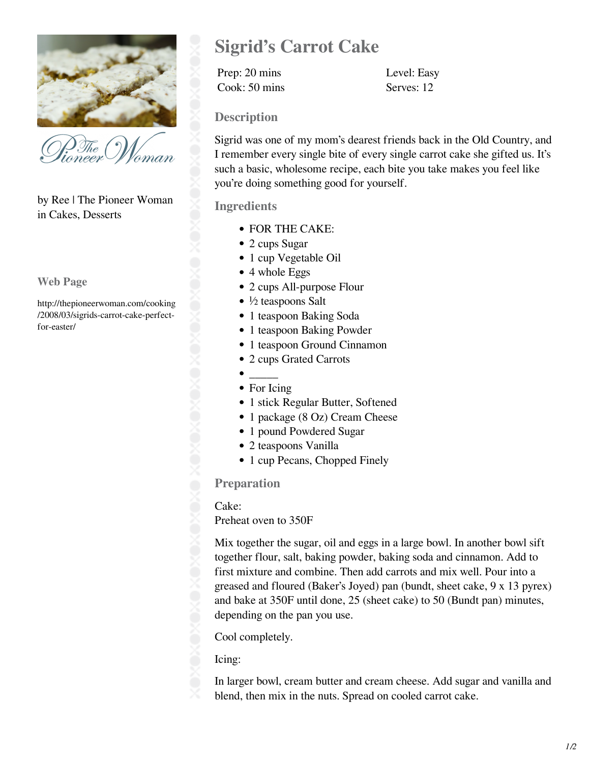

'oman

by Ree | The Pioneer Woman in Cakes, Desserts

**Web Page**

http://thepioneerwoman.com/cooking /2008/03/sigrids-carrot-cake-perfectfor-easter/

# **Sigrid's Carrot Cake**

Prep: 20 mins Level: Easy Cook: 50 mins Serves: 12

## **Description**

Sigrid was one of my mom's dearest friends back in the Old Country, and I remember every single bite of every single carrot cake she gifted us. It's such a basic, wholesome recipe, each bite you take makes you feel like you're doing something good for yourself.

## **Ingredients**

- FOR THE CAKE:
- 2 cups Sugar
- 1 cup Vegetable Oil
- 4 whole Eggs
- 2 cups All-purpose Flour
- $\bullet$  ½ teaspoons Salt
- 1 teaspoon Baking Soda
- 1 teaspoon Baking Powder
- 1 teaspoon Ground Cinnamon
- 2 cups Grated Carrots
- $\overline{\phantom{a}}$ • For Icing

 $\bullet$ 

- 1 stick Regular Butter, Softened
- 1 package (8 Oz) Cream Cheese
- 1 pound Powdered Sugar
- 2 teaspoons Vanilla
- 1 cup Pecans, Chopped Finely

#### **Preparation**

#### Cake:

Preheat oven to 350F

Mix together the sugar, oil and eggs in a large bowl. In another bowl sift together flour, salt, baking powder, baking soda and cinnamon. Add to first mixture and combine. Then add carrots and mix well. Pour into a greased and floured (Baker's Joyed) pan (bundt, sheet cake, 9 x 13 pyrex) and bake at 350F until done, 25 (sheet cake) to 50 (Bundt pan) minutes, depending on the pan you use.

Cool completely.

## Icing:

In larger bowl, cream butter and cream cheese. Add sugar and vanilla and blend, then mix in the nuts. Spread on cooled carrot cake.